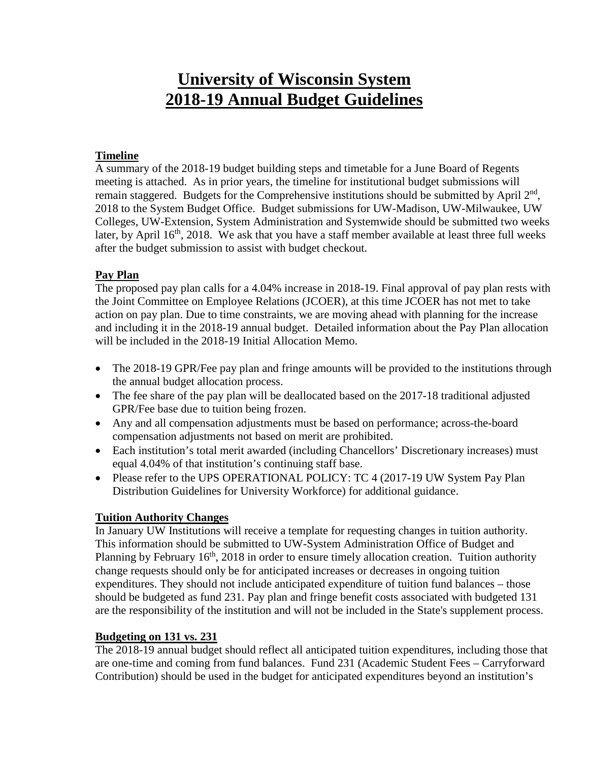# **University of Wisconsin System 2018-19 Annual Budget Guidelines**

## **Timeline**

A summary of the 2018-19 budget building steps and timetable for a June Board of Regents meeting is attached. As in prior years, the timeline for institutional budget submissions will remain staggered. Budgets for the Comprehensive institutions should be submitted by April  $2<sup>nd</sup>$ , 2018 to the System Budget Office. Budget submissions for UW-Madison, UW-Milwaukee, UW Colleges, UW-Extension, System Administration and Systemwide should be submitted two weeks later, by April 16<sup>th</sup>, 2018. We ask that you have a staff member available at least three full weeks after the budget submission to assist with budget checkout.

#### **Pay Plan**

The proposed pay plan calls for a 4.04% increase in 2018-19. Final approval of pay plan rests with the Joint Committee on Employee Relations (JCOER), at this time JCOER has not met to take action on pay plan. Due to time constraints, we are moving ahead with planning for the increase and including it in the 2018-19 annual budget. Detailed information about the Pay Plan allocation will be included in the 2018-19 Initial Allocation Memo.

- The 2018-19 GPR/Fee pay plan and fringe amounts will be provided to the institutions through the annual budget allocation process.
- The fee share of the pay plan will be deallocated based on the 2017-18 traditional adjusted GPR/Fee base due to tuition being frozen.
- Any and all compensation adjustments must be based on performance; across-the-board compensation adjustments not based on merit are prohibited.
- Each institution's total merit awarded (including Chancellors' Discretionary increases) must equal 4.04% of that institution's continuing staff base.
- Please refer to the UPS OPERATIONAL POLICY: TC 4 (2017-19 UW System Pay Plan Distribution Guidelines for University Workforce) for additional guidance.

# **Tuition Authority Changes**

In January UW Institutions will receive a template for requesting changes in tuition authority. This information should be submitted to UW-System Administration Office of Budget and Planning by February 16<sup>th</sup>, 2018 in order to ensure timely allocation creation. Tuition authority change requests should only be for anticipated increases or decreases in ongoing tuition expenditures. They should not include anticipated expenditure of tuition fund balances – those should be budgeted as fund 231. Pay plan and fringe benefit costs associated with budgeted 131 are the responsibility of the institution and will not be included in the State's supplement process.

#### **Budgeting on 131 vs. 231**

The 2018-19 annual budget should reflect all anticipated tuition expenditures, including those that are one-time and coming from fund balances. Fund 231 (Academic Student Fees – Carryforward Contribution) should be used in the budget for anticipated expenditures beyond an institution's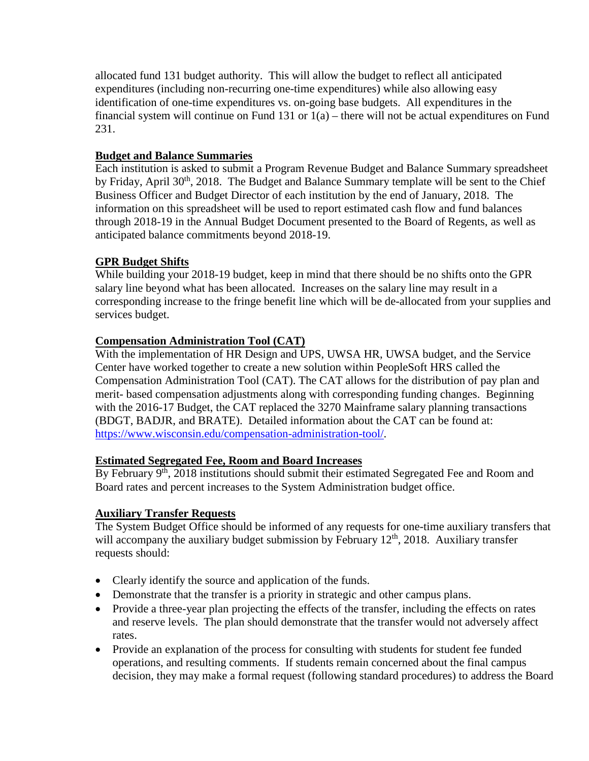allocated fund 131 budget authority. This will allow the budget to reflect all anticipated expenditures (including non-recurring one-time expenditures) while also allowing easy identification of one-time expenditures vs. on-going base budgets. All expenditures in the financial system will continue on Fund 131 or 1(a) – there will not be actual expenditures on Fund 231.

# **Budget and Balance Summaries**

Each institution is asked to submit a Program Revenue Budget and Balance Summary spreadsheet by Friday, April 30<sup>th</sup>, 2018. The Budget and Balance Summary template will be sent to the Chief Business Officer and Budget Director of each institution by the end of January, 2018. The information on this spreadsheet will be used to report estimated cash flow and fund balances through 2018-19 in the Annual Budget Document presented to the Board of Regents, as well as anticipated balance commitments beyond 2018-19.

# **GPR Budget Shifts**

While building your 2018-19 budget, keep in mind that there should be no shifts onto the GPR salary line beyond what has been allocated. Increases on the salary line may result in a corresponding increase to the fringe benefit line which will be de-allocated from your supplies and services budget.

### **Compensation Administration Tool (CAT)**

With the implementation of HR Design and UPS, UWSA HR, UWSA budget, and the Service Center have worked together to create a new solution within PeopleSoft HRS called the Compensation Administration Tool (CAT). The CAT allows for the distribution of pay plan and merit- based compensation adjustments along with corresponding funding changes. Beginning with the 2016-17 Budget, the CAT replaced the 3270 Mainframe salary planning transactions (BDGT, BADJR, and BRATE). Detailed information about the CAT can be found at: [https://www.wisconsin.edu/compensation-administration-tool/.](https://www.wisconsin.edu/compensation-administration-tool/)

# **Estimated Segregated Fee, Room and Board Increases**

By February 9<sup>th</sup>, 2018 institutions should submit their estimated Segregated Fee and Room and Board rates and percent increases to the System Administration budget office.

#### **Auxiliary Transfer Requests**

The System Budget Office should be informed of any requests for one-time auxiliary transfers that will accompany the auxiliary budget submission by February  $12<sup>th</sup>$ , 2018. Auxiliary transfer requests should:

- Clearly identify the source and application of the funds.
- Demonstrate that the transfer is a priority in strategic and other campus plans.
- Provide a three-year plan projecting the effects of the transfer, including the effects on rates and reserve levels. The plan should demonstrate that the transfer would not adversely affect rates.
- Provide an explanation of the process for consulting with students for student fee funded operations, and resulting comments. If students remain concerned about the final campus decision, they may make a formal request (following standard procedures) to address the Board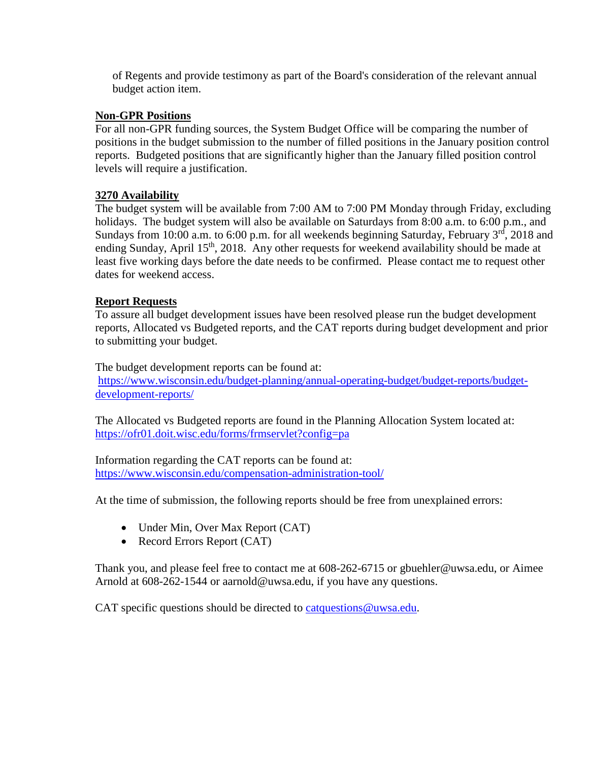of Regents and provide testimony as part of the Board's consideration of the relevant annual budget action item.

### **Non-GPR Positions**

For all non-GPR funding sources, the System Budget Office will be comparing the number of positions in the budget submission to the number of filled positions in the January position control reports. Budgeted positions that are significantly higher than the January filled position control levels will require a justification.

### **3270 Availability**

The budget system will be available from 7:00 AM to 7:00 PM Monday through Friday, excluding holidays. The budget system will also be available on Saturdays from 8:00 a.m. to 6:00 p.m., and Sundays from 10:00 a.m. to 6:00 p.m. for all weekends beginning Saturday, February 3<sup>rd</sup>, 2018 and ending Sunday, April 15<sup>th</sup>, 2018. Any other requests for weekend availability should be made at least five working days before the date needs to be confirmed. Please contact me to request other dates for weekend access.

### **Report Requests**

To assure all budget development issues have been resolved please run the budget development reports, Allocated vs Budgeted reports, and the CAT reports during budget development and prior to submitting your budget.

The budget development reports can be found at: [https://www.wisconsin.edu/budget-planning/annual-operating-budget/budget-reports/budget](https://www.wisconsin.edu/budget-planning/annual-operating-budget/budget-reports/budget-development-reports/)[development-reports/](https://www.wisconsin.edu/budget-planning/annual-operating-budget/budget-reports/budget-development-reports/)

The Allocated vs Budgeted reports are found in the Planning Allocation System located at: <https://ofr01.doit.wisc.edu/forms/frmservlet?config=pa>

Information regarding the CAT reports can be found at: <https://www.wisconsin.edu/compensation-administration-tool/>

At the time of submission, the following reports should be free from unexplained errors:

- Under Min, Over Max Report (CAT)
- Record Errors Report (CAT)

Thank you, and please feel free to contact me at 608-262-6715 or gbuehler@uwsa.edu, or Aimee Arnold at 608-262-1544 or aarnold@uwsa.edu, if you have any questions.

CAT specific questions should be directed to [catquestions@uwsa.edu.](mailto:catquestions@uwsa.edu)